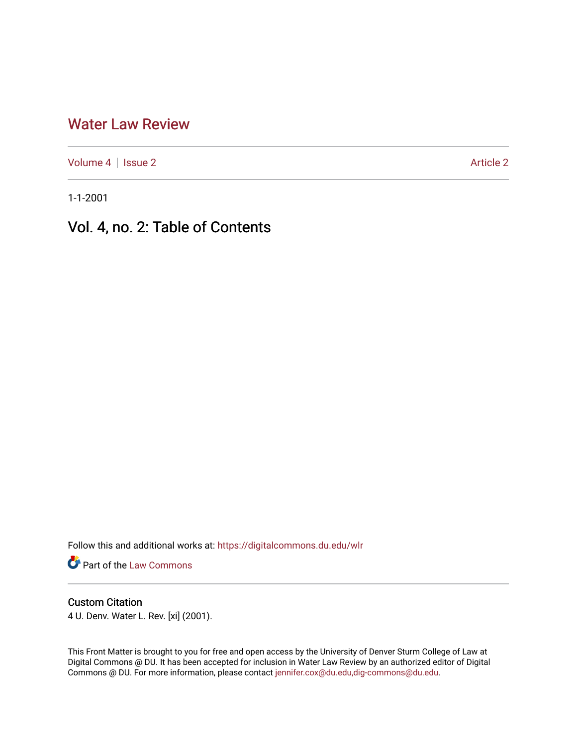## [Water Law Review](https://digitalcommons.du.edu/wlr)

[Volume 4](https://digitalcommons.du.edu/wlr/vol4) | [Issue 2](https://digitalcommons.du.edu/wlr/vol4/iss2) Article 2

1-1-2001

# Vol. 4, no. 2: Table of Contents

Follow this and additional works at: [https://digitalcommons.du.edu/wlr](https://digitalcommons.du.edu/wlr?utm_source=digitalcommons.du.edu%2Fwlr%2Fvol4%2Fiss2%2F2&utm_medium=PDF&utm_campaign=PDFCoverPages) 

**Part of the [Law Commons](http://network.bepress.com/hgg/discipline/578?utm_source=digitalcommons.du.edu%2Fwlr%2Fvol4%2Fiss2%2F2&utm_medium=PDF&utm_campaign=PDFCoverPages)** 

#### Custom Citation

4 U. Denv. Water L. Rev. [xi] (2001).

This Front Matter is brought to you for free and open access by the University of Denver Sturm College of Law at Digital Commons @ DU. It has been accepted for inclusion in Water Law Review by an authorized editor of Digital Commons @ DU. For more information, please contact [jennifer.cox@du.edu,dig-commons@du.edu.](mailto:jennifer.cox@du.edu,dig-commons@du.edu)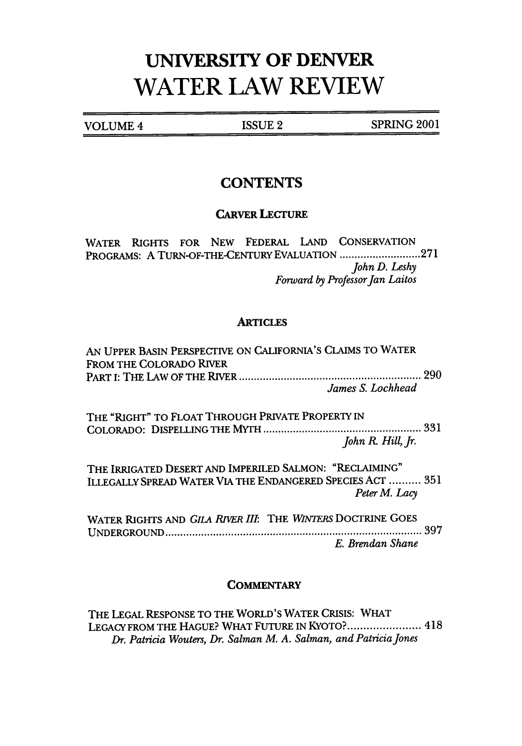# **UNIVERSITY OF DENVER WATER LAW REVIEW**

VOLUME 4 ISSUE 2 **SPRING** 2001

## **CONTENTS**

#### CARVER LECTURE

WATER RIGHTS FOR **NEW** FEDERAL **LAND** CONSERVATION PROGRAMS: **A** TURN-OF-THE-CENTURY EVALUATION **........................... 271** *John D. Leshy Forward by Professor Jan Laitos*

#### **ARTICLES**

| AN UPPER BASIN PERSPECTIVE ON CALIFORNIA'S CLAIMS TO WATER<br>FROM THE COLORADO RIVER                                 |                   |
|-----------------------------------------------------------------------------------------------------------------------|-------------------|
|                                                                                                                       | James S. Lochhead |
| THE "RIGHT" TO FLOAT THROUGH PRIVATE PROPERTY IN                                                                      |                   |
|                                                                                                                       | John R. Hill, Jr. |
| THE IRRIGATED DESERT AND IMPERILED SALMON: "RECLAIMING"<br>ILLEGALLY SPREAD WATER VIA THE ENDANGERED SPECIES ACT  351 | Peter M. Lacy     |
| WATER RIGHTS AND GILA RIVER III: THE WINTERS DOCTRINE GOES                                                            | 397               |
|                                                                                                                       | E. Brendan Shane  |

#### **COMMENTARY**

THE LEGAL RESPONSE TO THE WORLD'S WATER CRISIS: WHAT LEGACY FROM THE HAGUE? WHAT FUTURE IN KYOTO?....................... 418 *Dr. Patricia Wouters, Dr. Salman M. A. Salman, and PatriciaJones*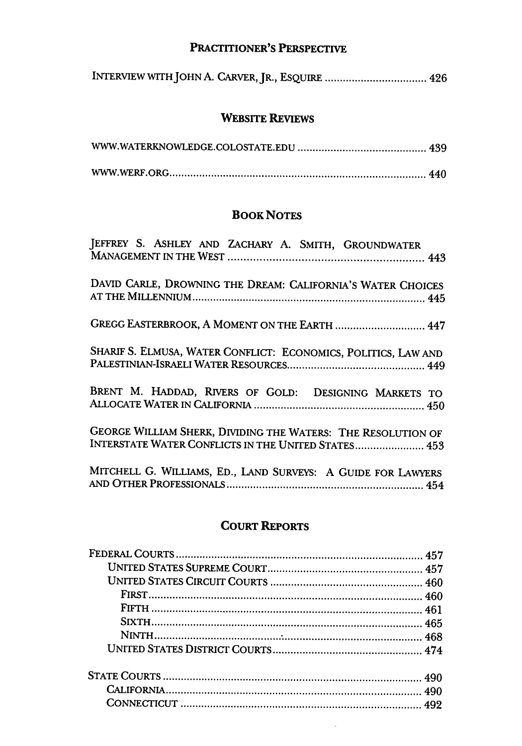### PRACTITIONER'S PERSPECTIVE

| INTERVIEW WITH JOHN A. CARVER, JR., ESQUIRE  426 |  |  |  |  |  |
|--------------------------------------------------|--|--|--|--|--|
|--------------------------------------------------|--|--|--|--|--|

## WEBSITE REVIEWS

### **BOOK NOTES**

| JEFFREY S. ASHLEY AND ZACHARY A. SMITH, GROUNDWATER                                                                 |
|---------------------------------------------------------------------------------------------------------------------|
| DAVID CARLE, DROWNING THE DREAM: CALIFORNIA'S WATER CHOICES                                                         |
| GREGG EASTERBROOK, A MOMENT ON THE EARTH  447                                                                       |
| SHARIF S. ELMUSA, WATER CONFLICT: ECONOMICS, POLITICS, LAW AND                                                      |
| BRENT M. HADDAD, RIVERS OF GOLD: DESIGNING MARKETS TO                                                               |
| GEORGE WILLIAM SHERK, DIVIDING THE WATERS: THE RESOLUTION OF<br>INTERSTATE WATER CONFLICTS IN THE UNITED STATES 453 |
| MITCHELL G. WILLIAMS, ED., LAND SURVEYS: A GUIDE FOR LAWYERS                                                        |

## COURT REPORTS

 $\bar{\beta}$